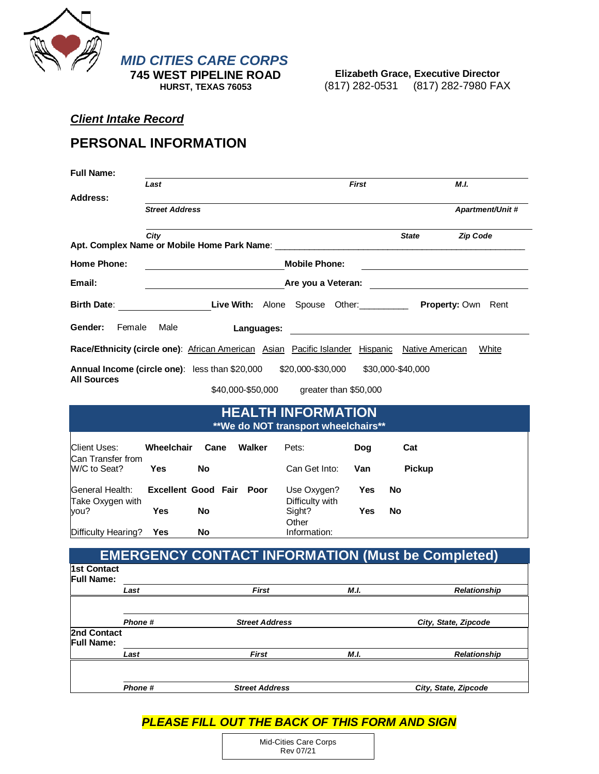

**Elizabeth Grace, Executive Director** (817) 282-0531 (817) 282-7980 FAX

## *Client Intake Record*

## **PERSONAL INFORMATION**

|                                                                                                       | Last                  |                                                                                |                       |                                                          | <b>First</b> |                   | M.I.                                                                |
|-------------------------------------------------------------------------------------------------------|-----------------------|--------------------------------------------------------------------------------|-----------------------|----------------------------------------------------------|--------------|-------------------|---------------------------------------------------------------------|
| Address:                                                                                              | <b>Street Address</b> |                                                                                |                       |                                                          |              |                   | <b>Apartment/Unit #</b>                                             |
|                                                                                                       |                       |                                                                                |                       |                                                          |              |                   |                                                                     |
|                                                                                                       | City                  |                                                                                |                       |                                                          |              | <b>State</b>      | <b>Zip Code</b>                                                     |
| <b>Home Phone:</b>                                                                                    |                       |                                                                                |                       | <b>Mobile Phone:</b>                                     |              |                   |                                                                     |
| Email:                                                                                                |                       | Are you a Veteran:<br><u> 1989 - Johann Stone, mars andrew Maria Barbara (</u> |                       |                                                          |              |                   |                                                                     |
|                                                                                                       |                       |                                                                                |                       |                                                          |              |                   | Birth Date: Carry Live With: Alone Spouse Other: Property: Own Rent |
| Gender:<br>Female                                                                                     | Male                  |                                                                                | Languages:            |                                                          |              |                   |                                                                     |
| <b>Race/Ethnicity (circle one)</b> : African American Asian Pacific Islander Hispanic Native American |                       |                                                                                |                       |                                                          |              |                   | White                                                               |
| Annual Income (circle one): less than \$20,000                                                        |                       |                                                                                |                       | \$20,000-\$30,000                                        |              | \$30,000-\$40,000 |                                                                     |
| <b>All Sources</b>                                                                                    |                       |                                                                                | \$40,000-\$50,000     | greater than \$50,000                                    |              |                   |                                                                     |
|                                                                                                       |                       |                                                                                |                       |                                                          |              |                   |                                                                     |
|                                                                                                       |                       |                                                                                |                       |                                                          |              |                   |                                                                     |
|                                                                                                       |                       |                                                                                |                       | <b>HEALTH INFORMATION</b>                                |              |                   |                                                                     |
|                                                                                                       |                       |                                                                                |                       | **We do NOT transport wheelchairs**                      |              |                   |                                                                     |
| Client Uses:                                                                                          | Wheelchair            | Cane                                                                           | Walker                | Pets:                                                    | Dog          | Cat               |                                                                     |
| Can Transfer from<br>W/C to Seat?                                                                     | <b>Yes</b>            | <b>No</b>                                                                      |                       | Can Get Into:                                            | Van          | <b>Pickup</b>     |                                                                     |
| General Health:                                                                                       |                       | <b>Excellent Good Fair Poor</b>                                                |                       | Use Oxygen?                                              | <b>Yes</b>   | No                |                                                                     |
| Take Oxygen with<br>vou?                                                                              | <b>Yes</b>            | No                                                                             |                       | Difficulty with                                          | <b>Yes</b>   | No                |                                                                     |
|                                                                                                       |                       |                                                                                |                       | Sight?<br>Other                                          |              |                   |                                                                     |
| Difficulty Hearing?                                                                                   | Yes                   | No                                                                             |                       | Information:                                             |              |                   |                                                                     |
|                                                                                                       |                       |                                                                                |                       | <b>EMERGENCY CONTACT INFORMATION (Must be Completed)</b> |              |                   |                                                                     |
| <b>1st Contact</b><br><b>Full Name:</b>                                                               |                       |                                                                                |                       |                                                          |              |                   |                                                                     |
| Last                                                                                                  |                       |                                                                                | <b>First</b>          |                                                          | M.I.         |                   | <b>Relationship</b>                                                 |
|                                                                                                       |                       |                                                                                |                       |                                                          |              |                   |                                                                     |
| 2nd Contact                                                                                           | Phone #               |                                                                                | <b>Street Address</b> |                                                          |              |                   | City, State, Zipcode                                                |
| <b>Full Name:</b><br>Last                                                                             |                       |                                                                                | First                 |                                                          | M.I.         |                   | <b>Relationship</b>                                                 |

*Phone # Street Address City, State, Zipcode*

*PLEASE FILL OUT THE BACK OF THIS FORM AND SIGN*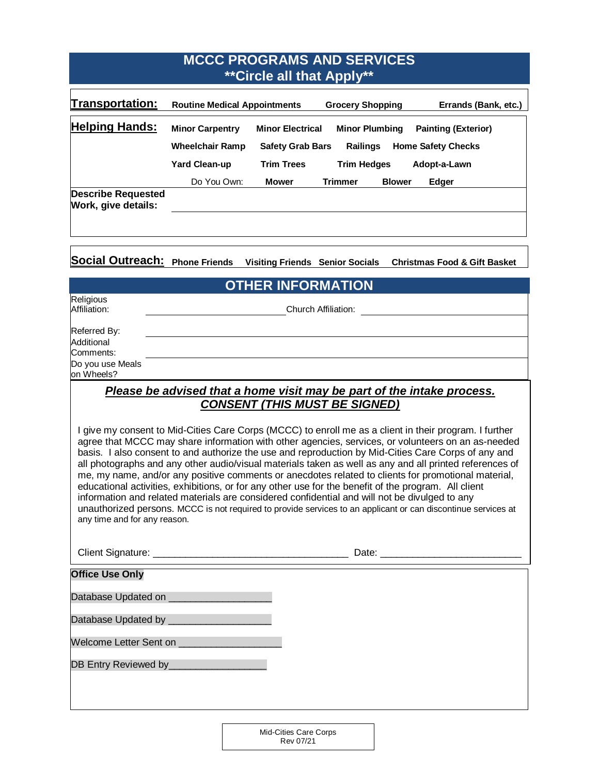| <b>MCCC PROGRAMS AND SERVICES</b><br><b>**Circle all that Apply**</b> |                                                  |                                                    |                                      |               |                                                         |  |
|-----------------------------------------------------------------------|--------------------------------------------------|----------------------------------------------------|--------------------------------------|---------------|---------------------------------------------------------|--|
| Transportation:                                                       | <b>Routine Medical Appointments</b>              |                                                    | <b>Grocery Shopping</b>              |               | Errands (Bank, etc.)                                    |  |
| <b>Helping Hands:</b>                                                 | <b>Minor Carpentry</b><br><b>Wheelchair Ramp</b> | <b>Minor Electrical</b><br><b>Safety Grab Bars</b> | <b>Minor Plumbing</b><br>Railings    |               | <b>Painting (Exterior)</b><br><b>Home Safety Checks</b> |  |
|                                                                       | <b>Yard Clean-up</b><br>Do You Own:              | <b>Trim Trees</b><br><b>Mower</b>                  | <b>Trim Hedges</b><br><b>Trimmer</b> | <b>Blower</b> | Adopt-a-Lawn<br>Edger                                   |  |
| <b>Describe Requested</b><br>Work, give details:                      |                                                  |                                                    |                                      |               |                                                         |  |
| Social Outreach: Phone Friends                                        |                                                  | <b>Visiting Friends Senior Socials</b>             |                                      |               | <b>Christmas Food &amp; Gift Basket</b>                 |  |
| <b>OTHER INFORMATION</b>                                              |                                                  |                                                    |                                      |               |                                                         |  |
| Religious<br>Affiliation:<br>$D$ oforrod $D_{1}$                      |                                                  |                                                    | Church Affiliation:                  |               |                                                         |  |

| Referred By:                   |
|--------------------------------|
| Additional                     |
| Comments:                      |
| Do you use Meals<br>on Wheels? |
|                                |

## *Please be advised that a home visit may be part of the intake process. CONSENT (THIS MUST BE SIGNED)*

I give my consent to Mid-Cities Care Corps (MCCC) to enroll me as a client in their program. I further agree that MCCC may share information with other agencies, services, or volunteers on an as-needed basis. I also consent to and authorize the use and reproduction by Mid-Cities Care Corps of any and all photographs and any other audio/visual materials taken as well as any and all printed references of me, my name, and/or any positive comments or anecdotes related to clients for promotional material, educational activities, exhibitions, or for any other use for the benefit of the program. All client information and related materials are considered confidential and will not be divulged to any unauthorized persons. MCCC is not required to provide services to an applicant or can discontinue services at any time and for any reason.

| <b>Office Use Only</b>                    |  |
|-------------------------------------------|--|
|                                           |  |
|                                           |  |
| Welcome Letter Sent on __________________ |  |
|                                           |  |
|                                           |  |